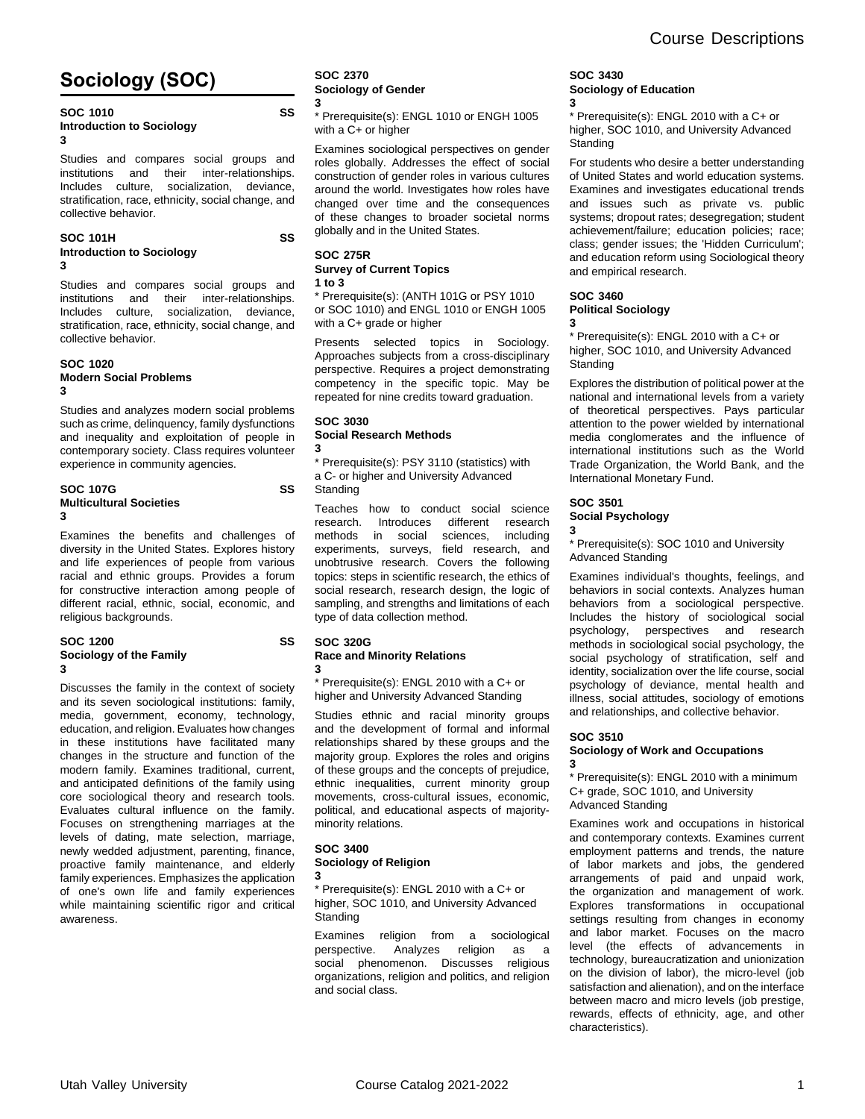# **Sociology (SOC)**

#### **SOC 1010 SS Introduction to Sociology 3**

Studies and compares social groups and institutions and their inter-relationships. Includes culture, socialization, deviance, stratification, race, ethnicity, social change, and collective behavior.

Studies and compares social groups and institutions and their inter-relationships. Includes culture, socialization, deviance, stratification, race, ethnicity, social change, and

Studies and analyzes modern social problems such as crime, delinquency, family dysfunctions and inequality and exploitation of people in contemporary society. Class requires volunteer

**SOC 107G SS**

Examines the benefits and challenges of diversity in the United States. Explores history and life experiences of people from various racial and ethnic groups. Provides a forum for constructive interaction among people of different racial, ethnic, social, economic, and

**SOC 1200 SS**

Discusses the family in the context of society and its seven sociological institutions: family, media, government, economy, technology, education, and religion. Evaluates how changes in these institutions have facilitated many changes in the structure and function of the modern family. Examines traditional, current, and anticipated definitions of the family using core sociological theory and research tools. Evaluates cultural influence on the family. Focuses on strengthening marriages at the levels of dating, mate selection, marriage, newly wedded adjustment, parenting, finance, proactive family maintenance, and elderly family experiences. Emphasizes the application of one's own life and family experiences while maintaining scientific rigor and critical

#### **SOC 101H SS Introduction to Sociology 3**

collective behavior.

**Modern Social Problems**

**Multicultural Societies**

religious backgrounds.

**Sociology of the Family**

experience in community agencies.

**SOC 1020**

**3**

**3**

**3**

## **SOC 275R Survey of Current Topics**

globally and in the United States.

**1 to 3**

**SOC 2370**

**3**

**Sociology of Gender**

with a C+ or higher

\* Prerequisite(s): (ANTH 101G or PSY 1010 or SOC 1010) and ENGL 1010 or ENGH 1005 with a C+ grade or higher

\* Prerequisite(s): ENGL 1010 or ENGH 1005

Examines sociological perspectives on gender roles globally. Addresses the effect of social construction of gender roles in various cultures around the world. Investigates how roles have changed over time and the consequences of these changes to broader societal norms

Presents selected topics in Sociology. Approaches subjects from a cross-disciplinary perspective. Requires a project demonstrating competency in the specific topic. May be repeated for nine credits toward graduation.

# **SOC 3030**

#### **Social Research Methods 3**

\* Prerequisite(s): PSY 3110 (statistics) with a C- or higher and University Advanced Standing

Teaches how to conduct social science research. Introduces different research methods in social sciences, including experiments, surveys, field research, and unobtrusive research. Covers the following topics: steps in scientific research, the ethics of social research, research design, the logic of sampling, and strengths and limitations of each type of data collection method.

## **SOC 320G**

### **Race and Minority Relations 3**

\* Prerequisite(s): ENGL 2010 with a C+ or higher and University Advanced Standing

Studies ethnic and racial minority groups and the development of formal and informal relationships shared by these groups and the majority group. Explores the roles and origins of these groups and the concepts of prejudice, ethnic inequalities, current minority group movements, cross-cultural issues, economic, political, and educational aspects of majorityminority relations.

### **SOC 3400 Sociology of Religion 3**

\* Prerequisite(s): ENGL 2010 with a C+ or higher, SOC 1010, and University Advanced **Standing** 

Examines religion from a sociological perspective. Analyzes religion as a social phenomenon. Discusses religious organizations, religion and politics, and religion and social class.

## **SOC 3430 Sociology of Education 3**

\* Prerequisite(s): ENGL 2010 with a C+ or higher, SOC 1010, and University Advanced **Standing** 

For students who desire a better understanding of United States and world education systems. Examines and investigates educational trends and issues such as private vs. public systems; dropout rates; desegregation; student achievement/failure; education policies; race; class; gender issues; the 'Hidden Curriculum'; and education reform using Sociological theory and empirical research.

## **SOC 3460 Political Sociology 3**

\* Prerequisite(s): ENGL 2010 with a C+ or higher, SOC 1010, and University Advanced **Standing** 

Explores the distribution of political power at the national and international levels from a variety of theoretical perspectives. Pays particular attention to the power wielded by international media conglomerates and the influence of international institutions such as the World Trade Organization, the World Bank, and the International Monetary Fund.

# **SOC 3501**

#### **Social Psychology 3**

\* Prerequisite(s): SOC 1010 and University Advanced Standing

Examines individual's thoughts, feelings, and behaviors in social contexts. Analyzes human behaviors from a sociological perspective. Includes the history of sociological social psychology, perspectives and research methods in sociological social psychology, the social psychology of stratification, self and identity, socialization over the life course, social psychology of deviance, mental health and illness, social attitudes, sociology of emotions and relationships, and collective behavior.

## **SOC 3510**

## **Sociology of Work and Occupations 3**

\* Prerequisite(s): ENGL 2010 with a minimum C+ grade, SOC 1010, and University Advanced Standing

Examines work and occupations in historical and contemporary contexts. Examines current employment patterns and trends, the nature of labor markets and jobs, the gendered arrangements of paid and unpaid work, the organization and management of work. Explores transformations in occupational settings resulting from changes in economy and labor market. Focuses on the macro level (the effects of advancements in technology, bureaucratization and unionization on the division of labor), the micro-level (job satisfaction and alienation), and on the interface between macro and micro levels (job prestige, rewards, effects of ethnicity, age, and other characteristics).

awareness.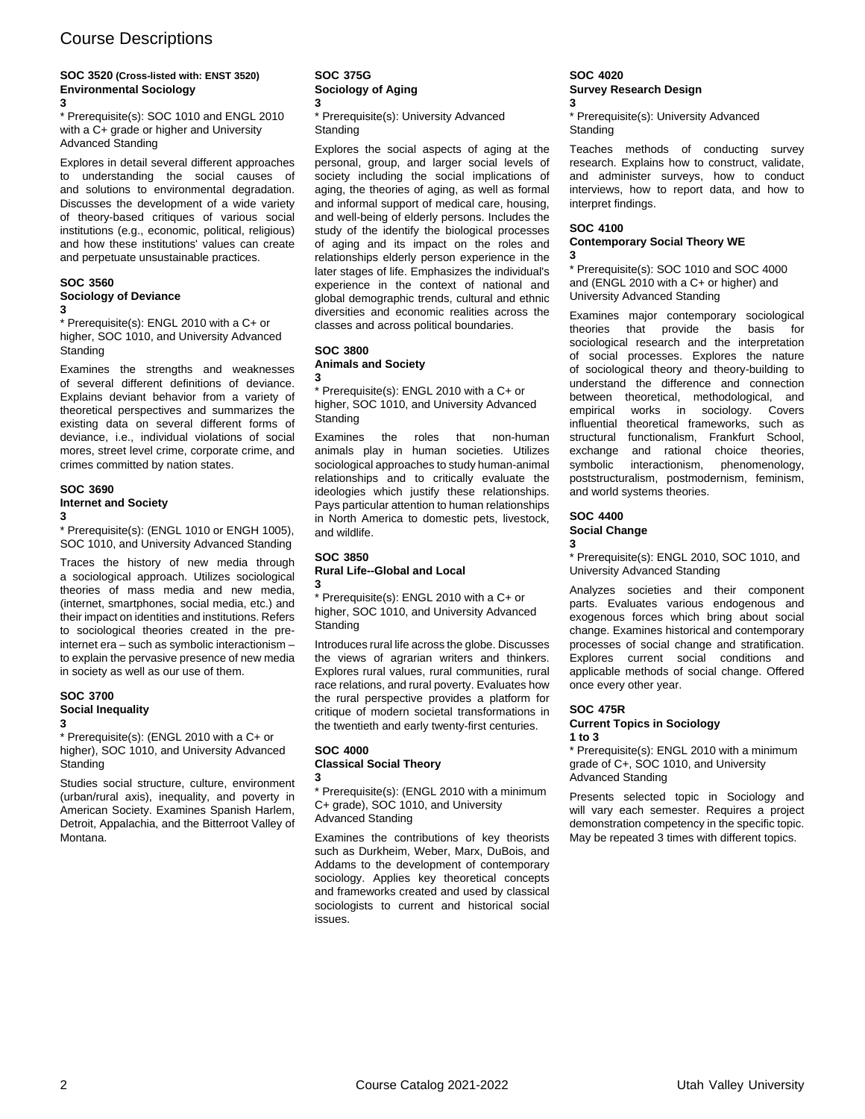## **SOC 3520 (Cross-listed with: ENST 3520) Environmental Sociology**

**3**

\* Prerequisite(s): SOC 1010 and ENGL 2010 with a C+ grade or higher and University Advanced Standing

Explores in detail several different approaches to understanding the social causes of and solutions to environmental degradation. Discusses the development of a wide variety of theory-based critiques of various social institutions (e.g., economic, political, religious) and how these institutions' values can create and perpetuate unsustainable practices.

## **SOC 3560 Sociology of Deviance**

**3**

\* Prerequisite(s): ENGL 2010 with a C+ or higher, SOC 1010, and University Advanced **Standing** 

Examines the strengths and weaknesses of several different definitions of deviance. Explains deviant behavior from a variety of theoretical perspectives and summarizes the existing data on several different forms of deviance, i.e., individual violations of social mores, street level crime, corporate crime, and crimes committed by nation states.

## **SOC 3690**

**Internet and Society**

**3**

\* Prerequisite(s): (ENGL 1010 or ENGH 1005), SOC 1010, and University Advanced Standing

Traces the history of new media through a sociological approach. Utilizes sociological theories of mass media and new media, (internet, smartphones, social media, etc.) and their impact on identities and institutions. Refers to sociological theories created in the preinternet era – such as symbolic interactionism – to explain the pervasive presence of new media in society as well as our use of them.

#### **SOC 3700 Social Inequality 3**

\* Prerequisite(s): (ENGL 2010 with a C+ or higher), SOC 1010, and University Advanced **Standing** 

Studies social structure, culture, environment (urban/rural axis), inequality, and poverty in American Society. Examines Spanish Harlem, Detroit, Appalachia, and the Bitterroot Valley of Montana.

## **SOC 375G Sociology of Aging 3**

\* Prerequisite(s): University Advanced **Standing** 

Explores the social aspects of aging at the personal, group, and larger social levels of society including the social implications of aging, the theories of aging, as well as formal and informal support of medical care, housing, and well-being of elderly persons. Includes the study of the identify the biological processes of aging and its impact on the roles and relationships elderly person experience in the later stages of life. Emphasizes the individual's experience in the context of national and global demographic trends, cultural and ethnic diversities and economic realities across the classes and across political boundaries.

## **SOC 3800**

## **Animals and Society 3**

\* Prerequisite(s): ENGL 2010 with a C+ or higher, SOC 1010, and University Advanced **Standing** 

Examines the roles that non-human animals play in human societies. Utilizes sociological approaches to study human-animal relationships and to critically evaluate the ideologies which justify these relationships. Pays particular attention to human relationships in North America to domestic pets, livestock, and wildlife.

## **SOC 3850 Rural Life--Global and Local 3**

\* Prerequisite(s): ENGL 2010 with a C+ or higher, SOC 1010, and University Advanced Standing

Introduces rural life across the globe. Discusses the views of agrarian writers and thinkers. Explores rural values, rural communities, rural race relations, and rural poverty. Evaluates how the rural perspective provides a platform for critique of modern societal transformations in the twentieth and early twenty-first centuries.

### **SOC 4000 Classical Social Theory 3**

\* Prerequisite(s): (ENGL 2010 with a minimum C+ grade), SOC 1010, and University Advanced Standing

Examines the contributions of key theorists such as Durkheim, Weber, Marx, DuBois, and Addams to the development of contemporary sociology. Applies key theoretical concepts and frameworks created and used by classical sociologists to current and historical social issues.

### **SOC 4020 Survey Research Design 3**

\* Prerequisite(s): University Advanced **Standing** 

Teaches methods of conducting survey research. Explains how to construct, validate, and administer surveys, how to conduct interviews, how to report data, and how to interpret findings.

## **SOC 4100 Contemporary Social Theory WE**

**3**

\* Prerequisite(s): SOC 1010 and SOC 4000 and (ENGL 2010 with a C+ or higher) and University Advanced Standing

Examines major contemporary sociological theories that provide the basis for sociological research and the interpretation of social processes. Explores the nature of sociological theory and theory-building to understand the difference and connection between theoretical, methodological, and empirical works in sociology. Covers influential theoretical frameworks, such as structural functionalism, Frankfurt School, exchange and rational choice theories, symbolic interactionism, phenomenology, poststructuralism, postmodernism, feminism, and world systems theories.

## **SOC 4400 Social Change**

**3**

\* Prerequisite(s): ENGL 2010, SOC 1010, and University Advanced Standing

Analyzes societies and their component parts. Evaluates various endogenous and exogenous forces which bring about social change. Examines historical and contemporary processes of social change and stratification. Explores current social conditions and applicable methods of social change. Offered once every other year.

## **SOC 475R**

## **Current Topics in Sociology 1 to 3**

\* Prerequisite(s): ENGL 2010 with a minimum grade of C+, SOC 1010, and University Advanced Standing

Presents selected topic in Sociology and will vary each semester. Requires a project demonstration competency in the specific topic. May be repeated 3 times with different topics.